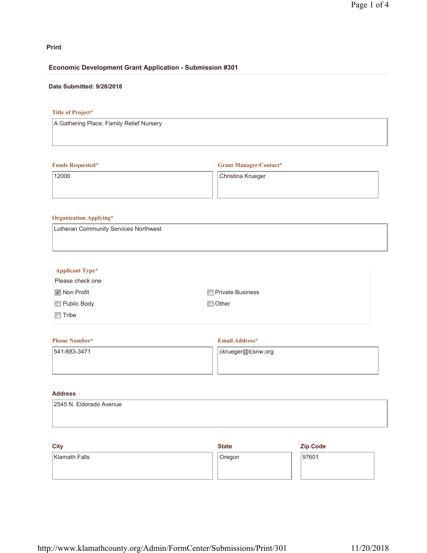# **Print**

## **Economic Development Grant Application - Submission #301**

## **Date Submitted: 9/28/2018**

# **Title of Project\***

A Gathering Place; Family Relief Nursery

## **Funds Requested\***

**Grant Manager/Contact\***

12000

Christina Krueger

## **Organization Applying\***

| Lutheran Community Services Northwest |  |
|---------------------------------------|--|
|                                       |  |

| $\Box$ Applicant Type* |                         |
|------------------------|-------------------------|
| Please check one       |                         |
| <b>■</b> Non Profit    | <b>Private Business</b> |
| Public Body            | <b>□</b> Other          |
| Tribe                  |                         |
|                        |                         |

## **Phone Number\*** 541-883-3471 **Email Address\*** ckrueger@lcsnw.org

# **Address**

| 2545 N. Eldorado Avenue |  |  |
|-------------------------|--|--|
|                         |  |  |
|                         |  |  |

| <b>City</b>   | <b>State</b> | <b>Zip Code</b> |
|---------------|--------------|-----------------|
| Klamath Falls | Oregon       | 97601           |
|               |              |                 |
|               |              |                 |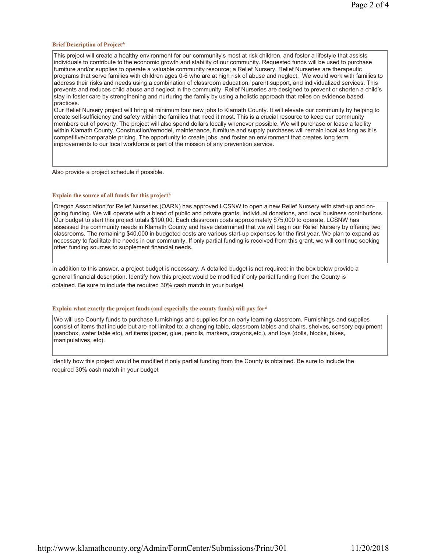#### **Brief Description of Project\***

This project will create a healthy environment for our community's most at risk children, and foster a lifestyle that assists individuals to contribute to the economic growth and stability of our community. Requested funds will be used to purchase furniture and/or supplies to operate a valuable community resource; a Relief Nursery. Relief Nurseries are therapeutic programs that serve families with children ages 0-6 who are at high risk of abuse and neglect. We would work with families to address their risks and needs using a combination of classroom education, parent support, and individualized services. This prevents and reduces child abuse and neglect in the community. Relief Nurseries are designed to prevent or shorten a child's stay in foster care by strengthening and nurturing the family by using a holistic approach that relies on evidence based practices.

Our Relief Nursery project will bring at minimum four new jobs to Klamath County. It will elevate our community by helping to create self-sufficiency and safety within the families that need it most. This is a crucial resource to keep our community members out of poverty. The project will also spend dollars locally whenever possible. We will purchase or lease a facility within Klamath County. Construction/remodel, maintenance, furniture and supply purchases will remain local as long as it is competitive/comparable pricing. The opportunity to create jobs, and foster an environment that creates long term improvements to our local workforce is part of the mission of any prevention service.

Also provide a project schedule if possible.

#### **Explain the source of all funds for this project\***

Oregon Association for Relief Nurseries (OARN) has approved LCSNW to open a new Relief Nursery with start-up and ongoing funding. We will operate with a blend of public and private grants, individual donations, and local business contributions. Our budget to start this project totals \$190,00. Each classroom costs approximately \$75,000 to operate. LCSNW has assessed the community needs in Klamath County and have determined that we will begin our Relief Nursery by offering two classrooms. The remaining \$40,000 in budgeted costs are various start-up expenses for the first year. We plan to expand as necessary to facilitate the needs in our community. If only partial funding is received from this grant, we will continue seeking other funding sources to supplement financial needs.

In addition to this answer, a project budget is necessary. A detailed budget is not required; in the box below provide a general financial description. Identify how this project would be modified if only partial funding from the County is obtained. Be sure to include the required 30% cash match in your budget

#### **Explain what exactly the project funds (and especially the county funds) will pay for\***

We will use County funds to purchase furnishings and supplies for an early learning classroom. Furnishings and supplies consist of items that include but are not limited to; a changing table, classroom tables and chairs, shelves, sensory equipment (sandbox, water table etc), art items (paper, glue, pencils, markers, crayons,etc.), and toys (dolls, blocks, bikes, manipulatives, etc).

Identify how this project would be modified if only partial funding from the County is obtained. Be sure to include the required 30% cash match in your budget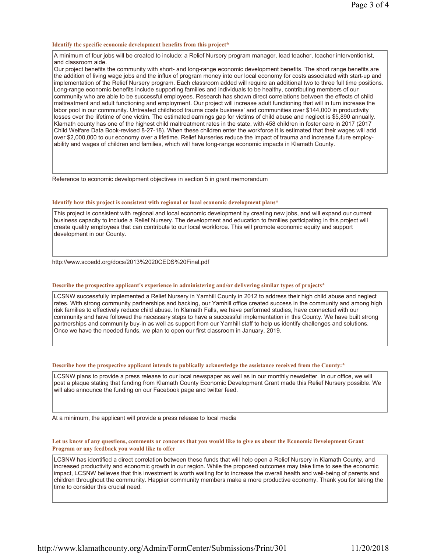### **Identify the specific economic development benefits from this project\***

A minimum of four jobs will be created to include: a Relief Nursery program manager, lead teacher, teacher interventionist, and classroom aide.

Our project benefits the community with short- and long-range economic development benefits. The short range benefits are the addition of living wage jobs and the influx of program money into our local economy for costs associated with start-up and implementation of the Relief Nursery program. Each classroom added will require an additional two to three full time positions. Long-range economic benefits include supporting families and individuals to be healthy, contributing members of our community who are able to be successful employees. Research has shown direct correlations between the effects of child maltreatment and adult functioning and employment. Our project will increase adult functioning that will in turn increase the labor pool in our community. Untreated childhood trauma costs business' and communities over \$144,000 in productivity losses over the lifetime of one victim. The estimated earnings gap for victims of child abuse and neglect is \$5,890 annually. Klamath county has one of the highest child maltreatment rates in the state, with 458 children in foster care in 2017 (2017 Child Welfare Data Book-revised 8-27-18). When these children enter the workforce it is estimated that their wages will add over \$2,000,000 to our economy over a lifetime. Relief Nurseries reduce the impact of trauma and increase future employability and wages of children and families, which will have long-range economic impacts in Klamath County.

Reference to economic development objectives in section 5 in grant memorandum

### **Identify how this project is consistent with regional or local economic development plans\***

This project is consistent with regional and local economic development by creating new jobs, and will expand our current business capacity to include a Relief Nursery. The development and education to families participating in this project will create quality employees that can contribute to our local workforce. This will promote economic equity and support development in our County.

http://www.scoedd.org/docs/2013%2020CEDS%20Final.pdf

### **Describe the prospective applicant's experience in administering and/or delivering similar types of projects\***

LCSNW successfully implemented a Relief Nursery in Yamhill County in 2012 to address their high child abuse and neglect rates. With strong community partnerships and backing, our Yamhill office created success in the community and among high risk families to effectively reduce child abuse. In Klamath Falls, we have performed studies, have connected with our community and have followed the necessary steps to have a successful implementation in this County. We have built strong partnerships and community buy-in as well as support from our Yamhill staff to help us identify challenges and solutions. Once we have the needed funds, we plan to open our first classroom in January, 2019.

#### **Describe how the prospective applicant intends to publically acknowledge the assistance received from the County:\***

LCSNW plans to provide a press release to our local newspaper as well as in our monthly newsletter. In our office, we will post a plaque stating that funding from Klamath County Economic Development Grant made this Relief Nursery possible. We will also announce the funding on our Facebook page and twitter feed.

At a minimum, the applicant will provide a press release to local media

**Let us know of any questions, comments or concerns that you would like to give us about the Economic Development Grant Program or any feedback you would like to offer**

 $\sf LCSNW$  has identified a direct correlation between these funds that will help open a Relief Nursery in Klamath County, and increased productivity and economic growth in our region. While the proposed outcomes may take time to see the economic impact, LCSNW believes that this investment is worth waiting for to increase the overall health and well-being of parents and children throughout the community. Happier community members make a more productive economy. Thank you for taking the time to consider this crucial need.